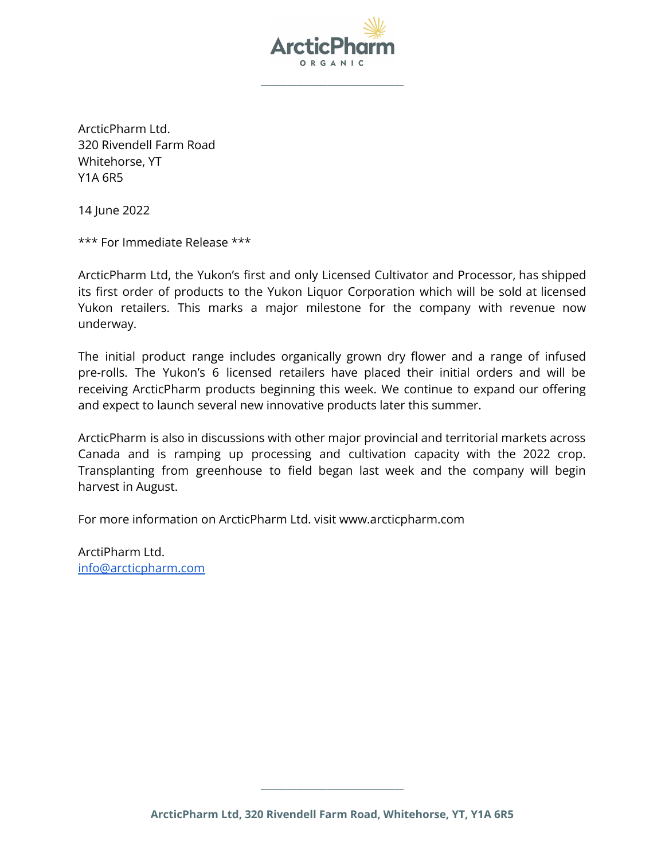

**\_\_\_\_\_\_\_\_\_\_\_\_\_\_\_\_\_\_\_\_\_\_\_\_\_\_\_\_\_\_\_\_**

ArcticPharm Ltd. 320 Rivendell Farm Road Whitehorse, YT Y1A 6R5

14 June 2022

\*\*\* For Immediate Release \*\*\*

ArcticPharm Ltd, the Yukon's first and only Licensed Cultivator and Processor, has shipped its first order of products to the Yukon Liquor Corporation which will be sold at licensed Yukon retailers. This marks a major milestone for the company with revenue now underway.

The initial product range includes organically grown dry flower and a range of infused pre-rolls. The Yukon's 6 licensed retailers have placed their initial orders and will be receiving ArcticPharm products beginning this week. We continue to expand our offering and expect to launch several new innovative products later this summer.

ArcticPharm is also in discussions with other major provincial and territorial markets across Canada and is ramping up processing and cultivation capacity with the 2022 crop. Transplanting from greenhouse to field began last week and the company will begin harvest in August.

For more information on ArcticPharm Ltd. visit www.arcticpharm.com

ArctiPharm Ltd. [info@arcticpharm.com](mailto:info@arcticpharm.com)

**\_\_\_\_\_\_\_\_\_\_\_\_\_\_\_\_\_\_\_\_\_\_\_\_\_\_\_\_\_\_\_\_**